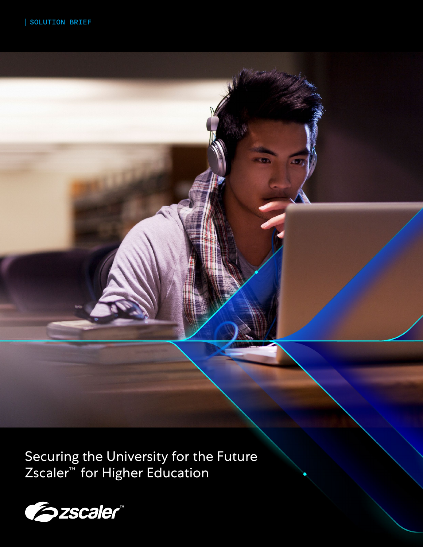Securing the University for the Future Zscaler™ for Higher Education

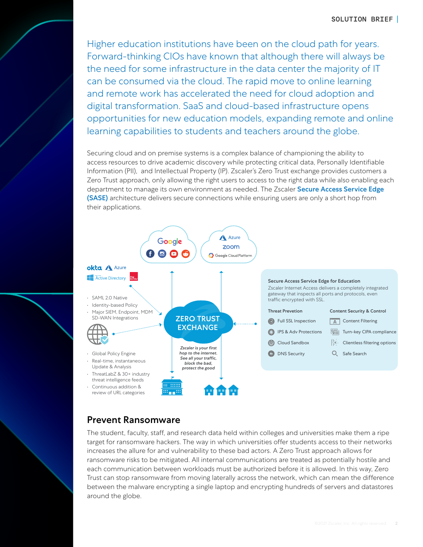Higher education institutions have been on the cloud path for years. Forward-thinking CIOs have known that although there will always be the need for some infrastructure in the data center the majority of IT can be consumed via the cloud. The rapid move to online learning and remote work has accelerated the need for cloud adoption and digital transformation. SaaS and cloud-based infrastructure opens opportunities for new education models, expanding remote and online learning capabilities to students and teachers around the globe.

Securing cloud and on premise systems is a complex balance of championing the ability to access resources to drive academic discovery while protecting critical data, Personally Identifiable Information (PII), and Intellectual Property (IP). Zscaler's Zero Trust exchange provides customers a Zero Trust approach, only allowing the right users to access to the right data while also enabling each department to manage its own environment as needed. The Zscaler Secure Access Service Edge [\(SASE\)](https://www.zscaler.com/capabilities/secure-access-service-edge) architecture delivers secure connections while ensuring users are only a short hop from their applications.



### Prevent Ransomware

The student, faculty, staff, and research data held within colleges and universities make them a ripe target for ransomware hackers. The way in which universities offer students access to their networks increases the allure for and vulnerability to these bad actors. A Zero Trust approach allows for ransomware risks to be mitigated. All internal communications are treated as potentially hostile and each communication between workloads must be authorized before it is allowed. In this way, Zero Trust can stop ransomware from moving laterally across the network, which can mean the difference between the malware encrypting a single laptop and encrypting hundreds of servers and datastores around the globe.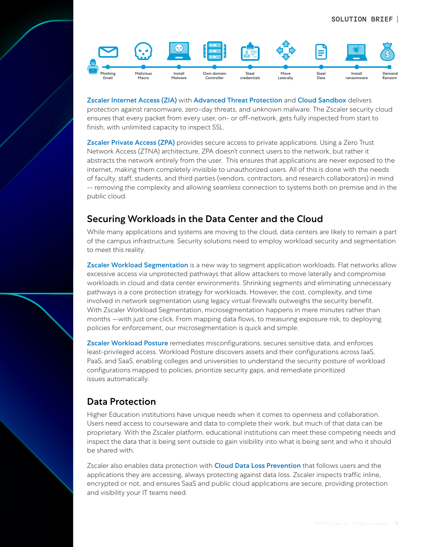

[Zscaler Internet Access](https://www.zscaler.com/products/zscaler-internet-access) (ZIA) with [Advanced Threat Protection](https://www.zscaler.com/solutions/advanced-threat-protection) and [Cloud Sandbox](https://www.zscaler.com/technology/cloud-sandbox) delivers protection against ransomware, zero-day threats, and unknown malware. The Zscaler security cloud ensures that every packet from every user, on- or off-network, gets fully inspected from start to finish, with unlimited capacity to inspect SSL.

[Zscaler Private Access](https://www.zscaler.com/platform/zscaler-private-access) (ZPA) provides secure access to private applications. Using a Zero Trust Network Access (ZTNA) architecture, ZPA doesn't connect users to the network, but rather it abstracts the network entirely from the user. This ensures that applications are never exposed to the internet, making them completely invisible to unauthorized users. All of this is done with the needs of faculty, staff, students, and third parties (vendors, contractors, and research collaborators) in mind -- removing the complexity and allowing seamless connection to systems both on premise and in the public cloud.

## Securing Workloads in the Data Center and the Cloud

While many applications and systems are moving to the cloud, data centers are likely to remain a part of the campus infrastructure. Security solutions need to employ workload security and segmentation to meet this reality.

[Zscaler Workload Segmentation](https://www.zscaler.com/products/zscaler-workload-segmentation) is a new way to segment application workloads. Flat networks allow excessive access via unprotected pathways that allow attackers to move laterally and compromise workloads in cloud and data center environments. Shrinking segments and eliminating unnecessary pathways is a core protection strategy for workloads. However, the cost, complexity, and time involved in network segmentation using legacy virtual firewalls outweighs the security benefit. With Zscaler Workload Segmentation, microsegmentation happens in mere minutes rather than months —with just one click. From mapping data flows, to measuring exposure risk, to deploying policies for enforcement, our microsegmentation is quick and simple.

[Zscaler Workload Posture](https://www.zscaler.com/products/workload-posture) remediates misconfigurations, secures sensitive data, and enforces least-privileged access. Workload Posture discovers assets and their configurations across IaaS, PaaS, and SaaS, enabling colleges and universities to understand the security posture of workload configurations mapped to policies, prioritize security gaps, and remediate prioritized issues automatically.

# Data Protection

Higher Education institutions have unique needs when it comes to openness and collaboration. Users need access to courseware and data to complete their work, but much of that data can be proprietary. With the Zscaler platform, educational institutions can meet these competing needs and inspect the data that is being sent outside to gain visibility into what is being sent and who it should be shared with.

Zscaler also enables data protection with **[Cloud Data Loss Prevention](https://www.zscaler.com/technology/data-loss-prevention)** that follows users and the applications they are accessing, always protecting against data loss. Zscaler inspects traffic inline, encrypted or not, and ensures SaaS and public cloud applications are secure, providing protection and visibility your IT teams need.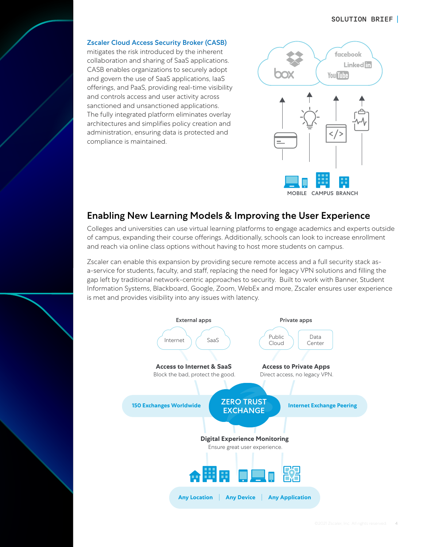### SOLUTION BRIEF

[Zscaler Cloud Access Security Broker \(CASB\)](https://www.zscaler.com/technology/cloud-access-security-broker-casb) mitigates the risk introduced by the inherent collaboration and sharing of SaaS applications. CASB enables organizations to securely adopt and govern the use of SaaS applications, IaaS offerings, and PaaS, providing real-time visibility and controls access and user activity across sanctioned and unsanctioned applications. The fully integrated platform eliminates overlay architectures and simplifies policy creation and administration, ensuring data is protected and compliance is maintained.



## Enabling New Learning Models & Improving the User Experience

Colleges and universities can use virtual learning platforms to engage academics and experts outside of campus, expanding their course offerings. Additionally, schools can look to increase enrollment and reach via online class options without having to host more students on campus.

Zscaler can enable this expansion by providing secure remote access and a full security stack asa-service for students, faculty, and staff, replacing the need for legacy VPN solutions and filling the gap left by traditional network-centric approaches to security. Built to work with Banner, Student Information Systems, Blackboard, Google, Zoom, WebEx and more, Zscaler ensures user experience is met and provides visibility into any issues with latency.